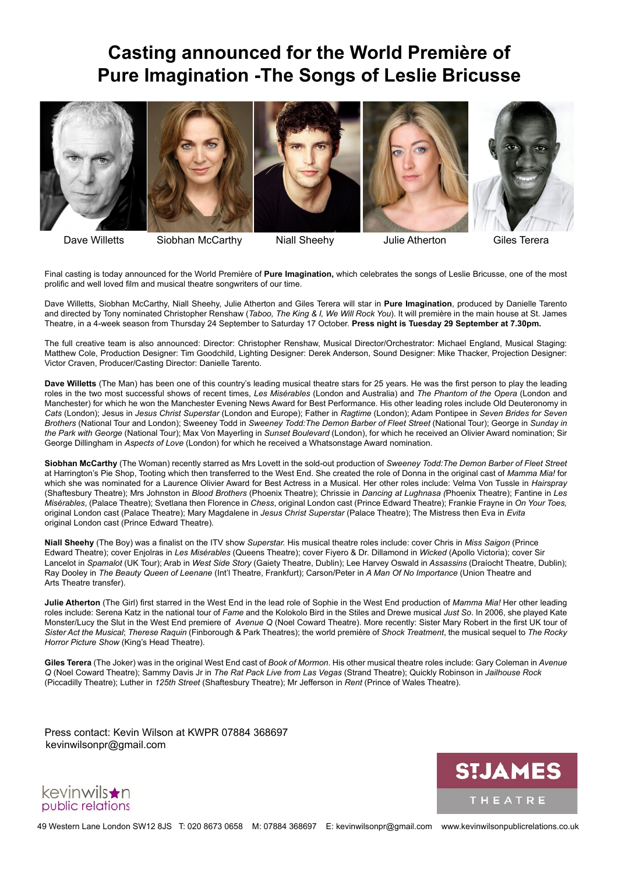## **Casting announced for the World Première of Pure Imagination -The Songs of Leslie Bricusse**



Dave Willetts Siobhan McCarthy Niall Sheehy Julie Atherton Giles Terera

Final casting is today announced for the World Première of **Pure Imagination,** which celebrates the songs of Leslie Bricusse, one of the most prolific and well loved film and musical theatre songwriters of our time.

Dave Willetts, Siobhan McCarthy, Niall Sheehy, Julie Atherton and Giles Terera will star in **Pure Imagination**, produced by Danielle Tarento and directed by Tony nominated Christopher Renshaw (*Taboo, The King & I, We Will Rock You*). It will première in the main house at St. James Theatre, in a 4-week season from Thursday 24 September to Saturday 17 October. **Press night is Tuesday 29 September at 7.30pm.**

The full creative team is also announced: Director: Christopher Renshaw, Musical Director/Orchestrator: Michael England, Musical Staging: Matthew Cole, Production Designer: Tim Goodchild, Lighting Designer: Derek Anderson, Sound Designer: Mike Thacker, Projection Designer: Victor Craven, Producer/Casting Director: Danielle Tarento.

**Dave Willetts** (The Man) has been one of this country's leading musical theatre stars for 25 years. He was the first person to play the leading roles in the two most successful shows of recent times, *Les Misérables* (London and Australia) and *The Phantom of the Opera* (London and Manchester) for which he won the Manchester Evening News Award for Best Performance. His other leading roles include Old Deuteronomy in *Cats* (London); Jesus in *Jesus Christ Superstar* (London and Europe); Father in *Ragtime* (London); Adam Pontipee in *Seven Brides for Seven Brothers* (National Tour and London); Sweeney Todd in *Sweeney Todd:The Demon Barber of Fleet Street* (National Tour); George in *Sunday in the Park with George* (National Tour); Max Von Mayerling in *Sunset Boulevard* (London), for which he received an Olivier Award nomination; Sir George Dillingham in *Aspects of Love* (London) for which he received a Whatsonstage Award nomination.

**Siobhan McCarthy** (The Woman) recently starred as Mrs Lovett in the sold-out production of *Sweeney Todd:The Demon Barber of Fleet Street* at Harrington's Pie Shop, Tooting which then transferred to the West End. She created the role of Donna in the original cast of *Mamma Mia!* for which she was nominated for a Laurence Olivier Award for Best Actress in a Musical. Her other roles include: Velma Von Tussle in *Hairspray*  (Shaftesbury Theatre); Mrs Johnston in *Blood Brothers* (Phoenix Theatre); Chrissie in *Dancing at Lughnasa (*Phoenix Theatre); Fantine in *Les Misérables*, (Palace Theatre); Svetlana then Florence in *Chess*, original London cast (Prince Edward Theatre); Frankie Frayne in *On Your Toes,*  original London cast (Palace Theatre); Mary Magdalene in *Jesus Christ Superstar* (Palace Theatre); The Mistress then Eva in *Evita* original London cast (Prince Edward Theatre).

**Niall Sheehy** (The Boy) was a finalist on the ITV show *Superstar.* His musical theatre roles include: cover Chris in *Miss Saigon* (Prince Edward Theatre); cover Enjolras in *Les Misérables* (Queens Theatre); cover Fiyero & Dr. Dillamond in *Wicked* (Apollo Victoria); cover Sir Lancelot in *Spamalot* (UK Tour); Arab in *West Side Story* (Gaiety Theatre, Dublin); Lee Harvey Oswald in *Assassins* (Draíocht Theatre, Dublin); Ray Dooley in *The Beauty Queen of Leenane* (Int'l Theatre, Frankfurt); Carson/Peter in *A Man Of No Importance* (Union Theatre and Arts Theatre transfer).

**Julie Atherton** (The Girl) first starred in the West End in the lead role of Sophie in the West End production of *Mamma Mia!* Her other leading roles include: Serena Katz in the national tour of *Fame* and the Kolokolo Bird in the Stiles and Drewe musical *Just So*. In 2006, she played Kate Monster/Lucy the Slut in the West End premiere of *Avenue Q* (Noel Coward Theatre). More recently: Sister Mary Robert in the first UK tour of *Sister Act the Musical*; *Therese Raquin* (Finborough & Park Theatres); the world première of *Shock Treatment*, the musical sequel to *The Rocky Horror Picture Show* (King's Head Theatre).

**Giles Terera** (The Joker) was in the original West End cast of *Book of Mormon*. His other musical theatre roles include: Gary Coleman in *Avenue Q* (Noel Coward Theatre); Sammy Davis Jr in *The Rat Pack Live from Las Vegas* (Strand Theatre); Quickly Robinson in *Jailhouse Rock* (Piccadilly Theatre); Luther in *125th Street* (Shaftesbury Theatre); Mr Jefferson in *Rent* (Prince of Wales Theatre).

Press contact: Kevin Wilson at KWPR 07884 368697 kevinwilsonpr@gmail.com